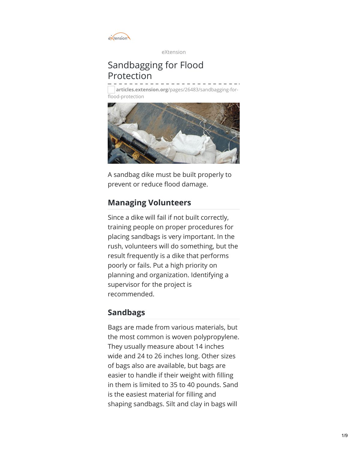

eXtension

# Sandbagging for Flood Protection

**articles.extension.org**[/pages/26483/sandbagging-for](https://articles.extension.org/pages/26483/sandbagging-for-flood-protection)flood-protection



A sandbag dike must be built properly to prevent or reduce flood damage.

## **Managing Volunteers**

Since a dike will fail if not built correctly, training people on proper procedures for placing sandbags is very important. In the rush, volunteers will do something, but the result frequently is a dike that performs poorly or fails. Put a high priority on planning and organization. Identifying a supervisor for the project is recommended.

## **Sandbags**

Bags are made from various materials, but the most common is woven polypropylene. They usually measure about 14 inches wide and 24 to 26 inches long. Other sizes of bags also are available, but bags are easier to handle if their weight with filling in them is limited to 35 to 40 pounds. Sand is the easiest material for filling and shaping sandbags. Silt and clay in bags will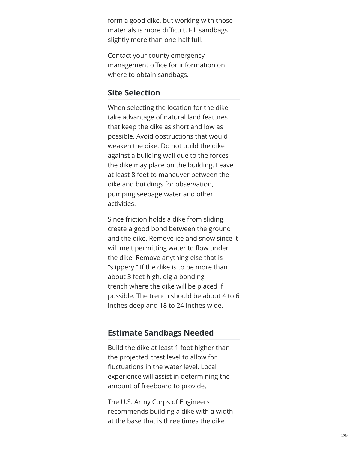form a good dike, but working with those materials is more difficult. Fill sandbags slightly more than one-half full.

Contact your county emergency management office for informatio n o n where to obtain sandbags.

## **Site Selection**

When selecting the location for the dike, take advantage of natural land features that keep the dike as short and low as possible. Avoid obstructions that would weaken the dike. Do not build the dike against a building wall due to the forces the dike may place on the building. Leave at least 8 feet to maneuver between the dike and buildings for observation, pumping seepage <u>[w](#page-7-0)ater</u> and other a c tivitie s.

Since frictio n h old s a dik e f r o m slidin g , cr[e](#page-7-0)ate a good bond between the ground and the dike. Remove ice and snow since it will melt permitting water to flow under the dike. Remove anything else that is "slippery." If the dike is to be more than about 3 feet high, dig a bonding trench where the dike will be placed if possible. The trench should be about 4 to 6 inches deep and 18 to 24 inches wide.

## **Estimate Sandbags Needed**

Build the dike at least 1 foot higher than the projected crest level to allow for fluctuations in the water level. Local experience will assist in determining the amount of freeboard to provide.

The U.S. Army Corps of Engineers recommends building a dike with a width at the base that is three times the dike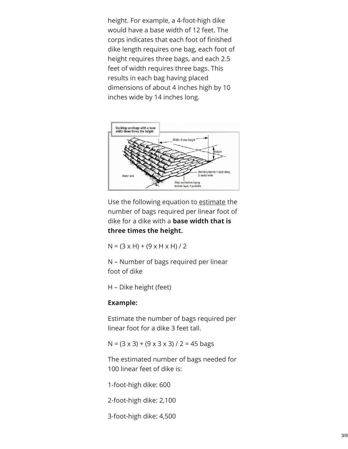height. For example, a 4-foot-high dike would have a base width of 12 feet. The corps indicates that each foot of finished dike length requires one bag, each foot of height requires three bags, and each 2.5 feet of width requires three bags. This results in each bag having placed dimensions of about 4 inches high by 10 inches wide by 14 inches long.



Use the following equation to [estimate](#page-7-0) the number of bags required per linear foot of dike for a dike with a **base width that is three times the height.**

 $N = (3 \times H) + (9 \times H \times H) / 2$ 

N – Number of bags required per linear foot of dike

H – Dike height (feet)

### **Example:**

Estimate the number of bags required per linear foot for a dike 3 feet tall.

 $N = (3 \times 3) + (9 \times 3 \times 3) / 2 = 45$  bags

The estimated number of bags needed for 100 linear feet of dike is:

1-foot-high dike: 600

2-foot-high dike: 2,100

3-foot-high dike: 4,500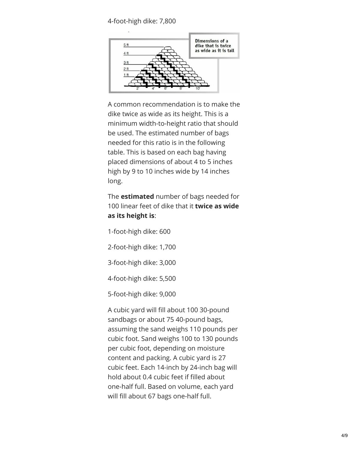#### 4-foot-high dike: 7,800



A common recommendation is to make the dike twice as wide as its height. This is a minimum width-to-height ratio that should be used. The estimated number of bags needed for this ratio is in the following table. This is based on each bag having placed dimensions of about 4 to 5 inches high by 9 to 10 inches wide by 14 inches long.

The **estimated** number of bags needed for 100 linear feet of dike that it **twice as wide as its height is**:

1-foot-high dike: 600

2-foot-high dike: 1,700

3-foot-high dike: 3,000

4-foot-high dike: 5,500

5-foot-high dike: 9,000

A cubic yard will fill about 100 30-pound sandbags or about 75 40-pound bags, assuming the sand weighs 110 pounds per cubic foot. Sand weighs 100 to 130 pounds per cubic foot, depending on moisture content and packing. A cubic yard is 27 cubic feet. Each 14-inch by 24-inch bag will hold about 0.4 cubic feet if filled about one-half full. Based on volume, each yard will fill about 67 bags one-half full.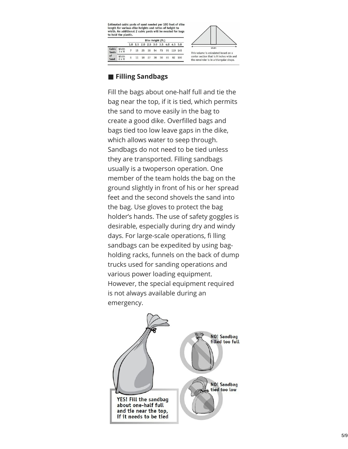Estimated cubic yards of sand needed per 100 feet of dike length for various dike heights and ratios of height to<br>width. An additional 2 cubic yards will be needed for bags to hold the plastic. Dike Height (ft.)



## ■ **Filling Sandbags**

Yards<br>of

s<br>and

Width<br> $2 \times H$ 

Fill the bags about one-half full and tie the bag near the top, if it is tied, which permits the sand to move easily in the bag to create a good dike. Overfilled bags and bags tied too low leave gaps in the dike, which allows water to seep through. Sandbags do not need to be tied unless they are transported. Filling sandbags usually is a twoperson operation. One member of the team holds the bag on the ground slightly in front of his or her spread feet and the second shovels the sand into the bag. Use gloves to protect the bag holder's hands. The use of safety goggles is desirable, especially during dry and windy days. For large-scale operations, fi lling sandbags can be expedited by using bagholding racks, funnels on the back of dump trucks used for sanding operations and various power loading equipment. However, the special equipment required is not always available during an emergency.

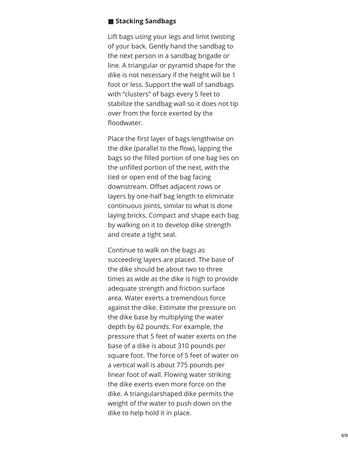#### $\blacksquare$  **Stacking Sandbags**

Lift bags using your legs and limit twisting of your back. Gently hand the sandbag to the next person in a sandbag brigade or line. A triangular or pyramid shape for th e dike is not necessary if the height will be 1 foot or less. Support the wall of sandbags with "clusters" of bags every 5 feet to stabilize the sandbag wall so it does not tip over from the force exerted by the floodwater.

Place the first layer of bags lengthwise on the dike (parallel to the flow), lapping the bags so the filled portion of one bag lies on the unfilled portion of the next, with the tied or open end of the bag facing downstream. Offset adjacent rows or layers by one-half bag length to eliminate continuous joints, similar to what is done laying bricks. Compact and shape each ba g by walking on it to develop dike strength and create a tight seal.

Continue to walk on the bags as succeeding layers are placed. The base of the dike should be about two to three times as wide as the dike is high to provide adequate strength and friction surface area. Water exerts a tremendous force against the dike. Estimate the pressure on the dike base by multiplying the water depth by 62 pounds. For example, the pressure that 5 feet of water exerts on the base of a dike is about 310 pounds per square foot. The force of 5 feet of water on a vertical wall is about 775 pounds per linear foot of wall. Flowing water strikin g the dike exerts even more force on the dike. A triangularshaped dike permits the weight of the water to push down on the dike to help hold it in place.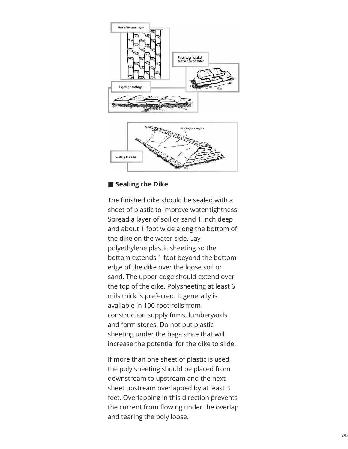



## ■ **S e a l i n g t h e D i k e**

The finished dike should be sealed with a sheet of plastic to improve water tightness. Spread a layer of soil or sand 1 inch deep and about 1 foot wide along the bottom of the dike on the water side. Lay polyethylene plastic sheeting so the bottom extends 1 foot beyond the bottom edge of the dike over the loose soil or sand. The upper edge should extend over the top of the dike. Polysheeting at least 6 mils thick is preferred. It generally is available in 100-foot rolls from construction supply firms, lumberyards and farm stores. Do not put plastic sheeting under the bags since that will increase the potential for the dike to slide.

If more than one sheet of plastic is used, the poly sheeting should be placed from downstream to upstream and the next sheet upstream overlapped by at least 3 feet. Overlapping in this direction prevents the current from flowing under the overlap and tearing the poly loose.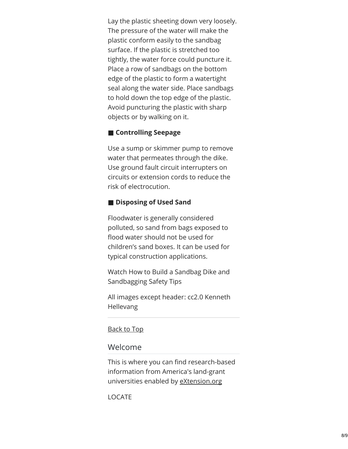Lay the plastic sheeting down very loosely. The pressure of the water will make the plastic conform easily to the sandbag surface. If the plastic is stretched too tightly, the water force could puncture it. Place a row of sandbags on the bottom edge of the plastic to form a watertight seal along the water side. Place sandbags to hold down the top edge of the plastic. Avoid puncturing the plastic with sharp objects or by walking on it.

### ■ **Controlling Seepage**

Use a sump or skimmer pump to remove water that permeates through the dike. Use ground fault circuit interrupters on circuits or extension cords to reduce the risk of electrocution.

### ■ **Disposing of Used Sand**

Floodwater is generally considered polluted, so sand from bags exposed to flood water should not be used for children's sand boxes. It can be used for typical construction applications.

Watch How to Build a Sandbag Dike and Sandbagging Safety Tips

All images except header: cc2.0 Kenneth Hellevang

#### Back to Top

### Welcome

This is where you can find research-based information from America's land-grant universities enabled by [eXtension.org](https://about.extension.org/)

<span id="page-7-0"></span>LOCATE